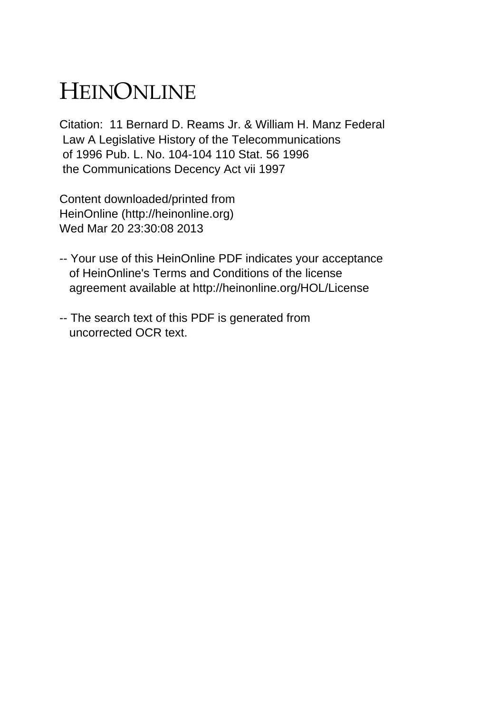# HEINONLINE

Citation: 11 Bernard D. Reams Jr. & William H. Manz Federal Law A Legislative History of the Telecommunications of 1996 Pub. L. No. 104-104 110 Stat. 56 1996 the Communications Decency Act vii 1997

Content downloaded/printed from HeinOnline (http://heinonline.org) Wed Mar 20 23:30:08 2013

- -- Your use of this HeinOnline PDF indicates your acceptance of HeinOnline's Terms and Conditions of the license agreement available at http://heinonline.org/HOL/License
- -- The search text of this PDF is generated from uncorrected OCR text.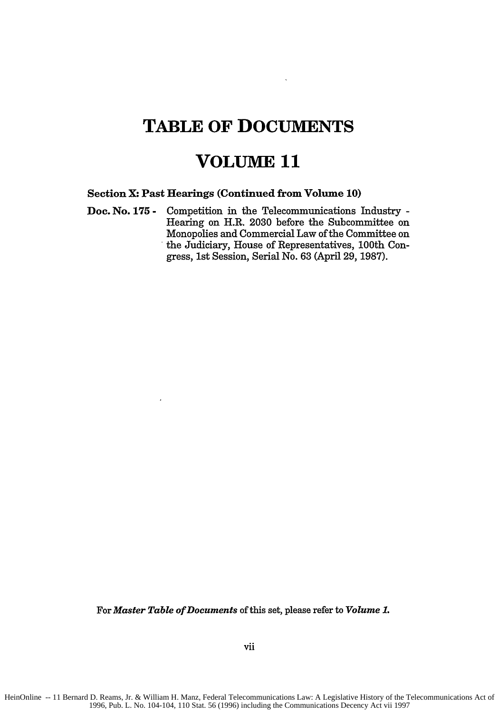### **TABLE OF DOCUMENTS**

#### **VOLUME 11**

#### **Section X: Past Hearings (Continued from Volume 10)**

**Doc. No. 175 -** Competition in the Telecommunications Industry - Hearing on H.R. 2030 before the Subcommittee on Monopolies and Commercial Law of the Committee on the Judiciary, House of Representatives, 100th Congress, 1st Session, Serial No. **63** (April **29,** 1987).

For *Master Table of Documents* of this set, please refer to *Volume 1.*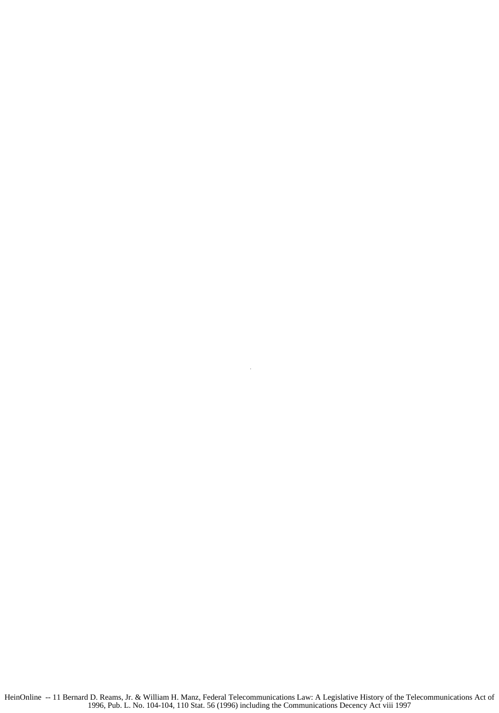HeinOnline -- 11 Bernard D. Reams, Jr. & William H. Manz, Federal Telecommunications Law: A Legislative History of the Telecommunications Act of 1996, Pub. L. No. 104-104, 110 Stat. 56 (1996) including the Communications Decency Act viii 1997

 $\hat{\boldsymbol{\beta}}$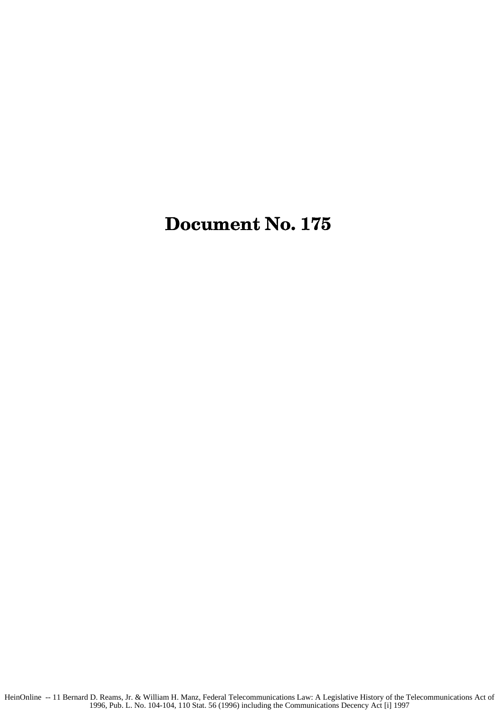## Document No. **175**